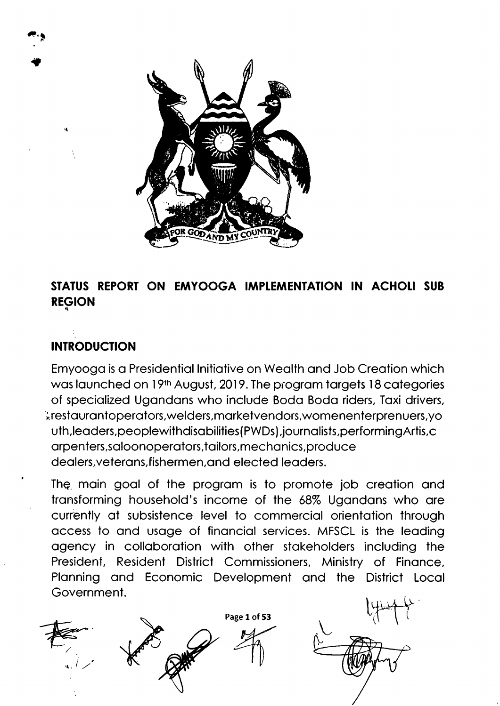

#### STATUS REPORT ON EMYOOGA IMPLEMENTATION IN ACHOLI SUB **REGION**

#### **INTRODUCTION**

Emyooga is a Presidential Initiative on Wealth and Job Creation which was launched on 19th August, 2019. The program targets 18 categories of specialized Ugandans who include Boda Boda riders, Taxi drivers, intertaurantoperators, welders, market vendors, women enterprenuers, you uth, leaders, peoplewith disabilities (PWDs), journalists, performing Artis, c arpenters, saloonoperators, tailors, mechanics, produce dealers, veterans, fishermen, and elected leaders.

The main goal of the program is to promote job creation and transforming household's income of the 68% Ugandans who are currently at subsistence level to commercial orientation through access to and usage of financial services. MFSCL is the leading agency in collaboration with other stakeholders including the President, Resident District Commissioners, Ministry of Finance, Planning and Economic Development and the District Local Government.



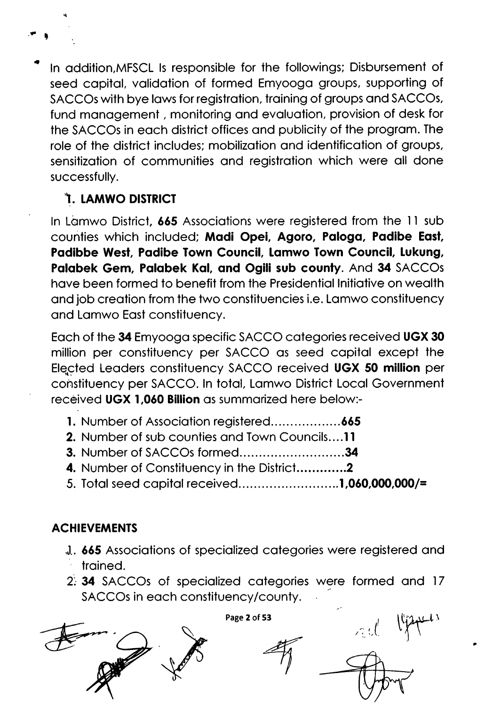ln oddition,MFSCL ls responsible for the followings; Disbursement of seed copitol, volidotion of formed Emyoogo groups, supporting of SACCOs with bye laws for registration, training of groups and SACCOs, fund management, monitoring and evaluation, provision of desk for the SACCOs in each district offices and publicity of the program. The role of the district includes; mobilizotion ond identificotion of groups, sensitizotion of communities ond registrotion which were oll done successfully.

# T. LAMWO DISTRICT

It

,l

a

In Lamwo District, 665 Associations were registered from the 11 sub counties which included; Madi Opei, Agoro, Paloga, Padibe East, Podibbe Wesl, Podibe Town Council, Lomwo Town Council, Lukung, Palabek Gem, Palabek Kal, and Ogili sub county. And 34 SACCOs have been formed to benefit from the Presidential Initiative on wealth and job creation from the two constituencies i.e. Lamwo constituency and Lamwo East constituency.

Each of the 34 Emyooga specific SACCO categories received UGX 30 million per constituency per SACCO os seed copitol except the Elected Leaders constituency SACCO received UGX 50 million per constituency per SACCO. ln totol, Lomwo District Locol Government received UGX 1,060 Billion os summorized here below:-

- 1. Number of Associotion registered. .....665
- 2. Number of sub counties and Town Councils....11
- **3. Number of SACCOs formed..........................34**
- 4. Number of Constituency in the District.............2
- 5. Total seed capital received..........................1,060,000,000/=

# ACHIEVEMENTS

- ,.l.. 665 Associotions of speciolized cotegories were registered ond troined.
- 2. 34 SACCOs of specialized categories were formed and 17 SACCOs in each constituency/county.



 $l$  ligger

,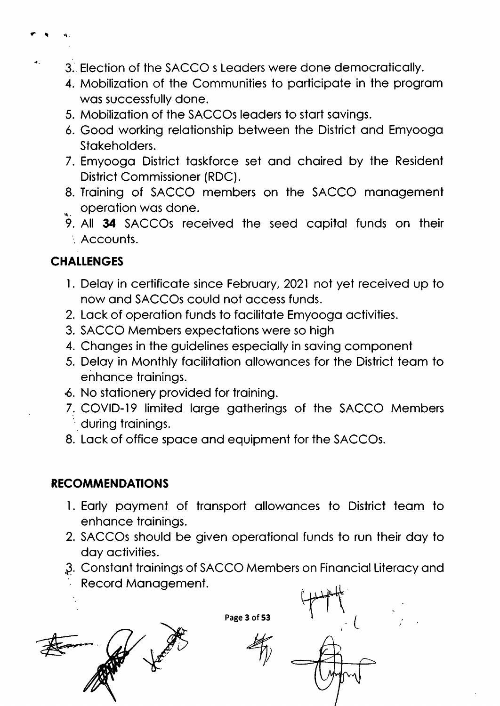- 3. Election of the SACCO s Leaders were done democratically.
- 4. Mobilization of the Communities to participate in the program was successfully done.
- 5. Mobilization of the SACCOs leaders to start savings.
- 6. Good working relationship between the District and Emyooga Stakeholders.
- 7. Emyooga District taskforce set and chaired by the Resident District Commissioner (RDC).
- 8. Training of SACCO members on the SACCO management operation was done.
- 9. All 34 SACCOs received the seed capital funds on their : Accounts.

## **CHALLENGES**

- 1. Delay in certificate since February, 2021 not yet received up to now and SACCOs could not access funds.
- 2. Lack of operation funds to facilitate Emyooga activities.
- 3. SACCO Members expectations were so high
- 4. Changes in the guidelines especially in saving component
- 5. Delay in Monthly facilitation allowances for the District team to enhance trainings.
- 6. No stationery provided for training.
- 7. COVID-19 limited large gatherings of the SACCO Members during trainings.
- 8. Lack of office space and equipment for the SACCOs.

#### **RECOMMENDATIONS**

- 1. Early payment of transport allowances to District team to enhance trainings.
- 2. SACCOs should be given operational funds to run their day to day activities.
- 3. Constant trainings of SACCO Members on Financial Literacy and
- Record Management.



Page 3 of 53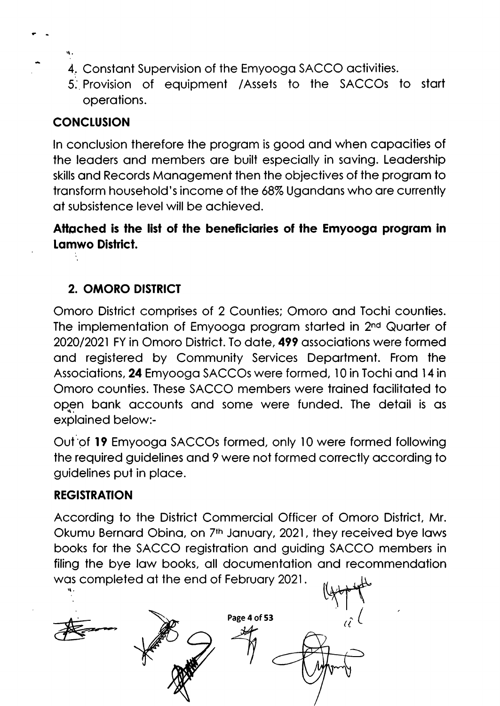- 4. Constant Supervision of the Emyooga SACCO activities.
- 5. Provision of equipment /Assels to the SACCOS to stort operotions.

## **CONCLUSION**

,,..

ln conclusion therefore the progrom is good ond when copocities of the leaders and members are built especially in saving. Leadership skills and Records Management then the objectives of the program to transform household's income of the 68% Ugandans who are currently of subsistence level will be ochieved.

Attached is the list of the beneficiaries of the Emyooga program in Lomwo Dislrict.

### 2. OMORO DISTRICT

Omoro District comprises of 2 Counties; Omoro ond Tochi counties. The implementation of Emyooga program started in 2<sup>nd</sup> Quarter of 2020/2021 FY in Omoro District. To date, 499 associations were formed ond registered by Community Services Deportment. From the Associations, 24 Emyooga SACCOs were formed, 10 in Tochi and 14 in Omoro counties. These SACCO members were troined focilitoted to open bank accounts and some were funded. The detail is as exploined below:-

Out of 19 Emyooga SACCOs formed, only 10 were formed following the required guidelines ond 9 were not formed correctly occording to guidelines put in ploce.

#### REGISTRATION

According to the District Commerciol Officer of Omoro District, Mr. Okumu Bernard Obina, on 7<sup>th</sup> January, 2021, they received bye laws books for the SACCO registrotion qnd guiding SACCO members in filing the bye law books, all documentation and recommendation was completed at the end of February 2021.

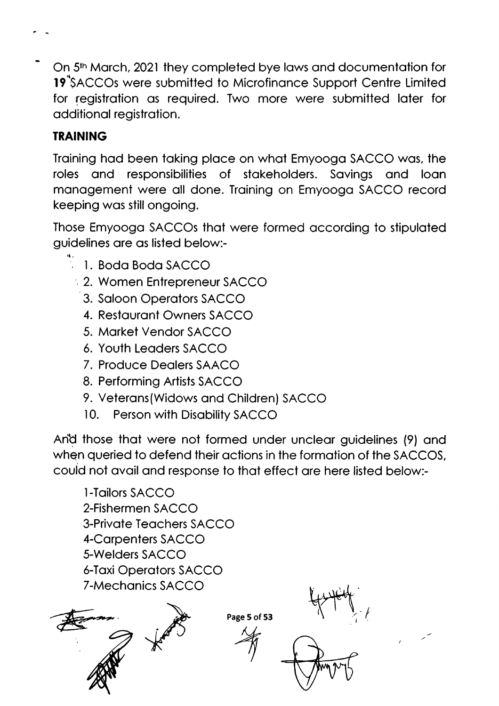On 5<sup>th</sup> March, 2021 they completed bye laws and documentation for 19<sup>\*</sup>SACCOs were submitted to Microfinance Support Centre Limited for registration as required. Two more were submitted later for additional registration.

## **TRAINING**

Training had been taking place on what Emyooga SACCO was, the and responsibilities of stakeholders. and loan roles Savings management were all done. Training on Emyooga SACCO record keeping was still ongoing.

Those Emyooga SACCOs that were formed according to stipulated guidelines are as listed below:-

- $\ddot{ }$  1. Boda Boda SACCO
	- 2. Women Entrepreneur SACCO
		- 3. Saloon Operators SACCO
		- 4. Restaurant Owners SACCO
		- 5. Market Vendor SACCO
		- 6. Youth Leaders SACCO
		- 7. Produce Dealers SAACO
		- 8. Performing Artists SACCO
		- 9. Veterans (Widows and Children) SACCO
		- $10.$ **Person with Disability SACCO**

And those that were not formed under unclear quidelines (9) and when queried to defend their actions in the formation of the SACCOS, could not avail and response to that effect are here listed below:-

1-Tailors SACCO 2-Fishermen SACCO **3-Private Teachers SACCO** 4-Carpenters SACCO 5-Welders SACCO **6-Taxi Operators SACCO 7-Mechanics SACCO** Page 5 of 53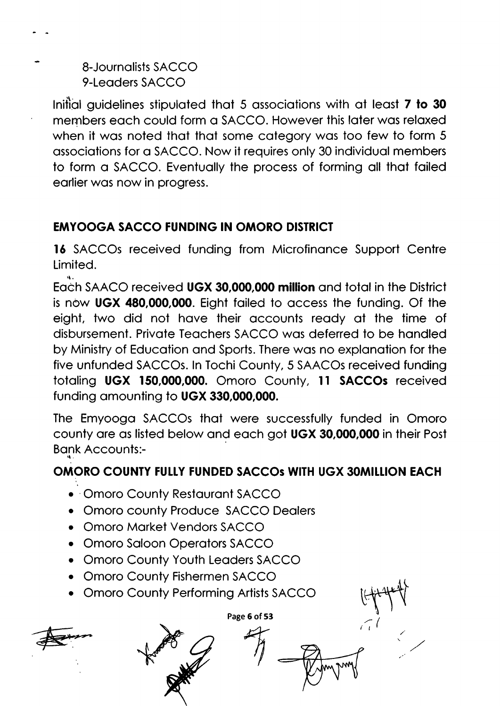8-Journalists SACCO 9-Leaders SACCO

Initial quidelines stipulated that 5 associations with at least 7 to 30 members each could form a SACCO. However this later was relaxed when it was noted that that some category was too few to form 5 associations for a SACCO. Now it requires only 30 individual members to form a SACCO. Eventually the process of forming all that failed earlier was now in progress.

## **EMYOOGA SACCO FUNDING IN OMORO DISTRICT**

16 SACCOs received funding from Microfinance Support Centre Limited.

Each SAACO received UGX 30,000,000 million and total in the District is now UGX 480,000,000. Eight failed to access the funding. Of the eight, two did not have their accounts ready at the time of disbursement. Private Teachers SACCO was deferred to be handled by Ministry of Education and Sports. There was no explanation for the five unfunded SACCOs. In Tochi County, 5 SAACOs received funding totaling UGX 150,000,000. Omoro County, 11 SACCOs received funding amounting to UGX 330,000,000.

The Emyooga SACCOs that were successfully funded in Omoro county are as listed below and each got UGX 30,000,000 in their Post **Bank Accounts:-**

# OMORO COUNTY FULLY FUNDED SACCOS WITH UGX 30MILLION EACH

- Omoro County Restaurant SACCO
- Omoro county Produce SACCO Dealers
- Omoro Market Vendors SACCO
- Omoro Saloon Operators SACCO
- Omoro County Youth Leaders SACCO
- Omoro County Fishermen SACCO
- Omoro County Performing Artists SACCO



Page 6 of 53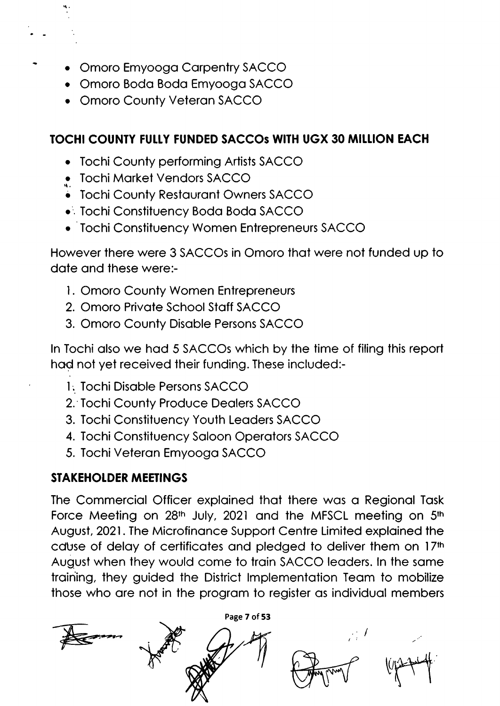- . Omoro Emyoogo Corpentry SACCO
- Omoro Boda Boda Emyooga SACCO
- Omoro County Veteran SACCO

#### TOCHI COUNTY FULLY FUNDED SACCOS WITH UGX 30 MILLION EACH

- . Tochi County performing Artists SACCO
- Tochi Market Vendors SACCO
- . Tochi County Restouront Owners SACCO
- o'. Tochi Constituency Bodo Bodo SACCO
- Tochi Constituency Women Entrepreneurs SACCO

However there were 3 SACCOs in Omoro that were not funded up to dote ond these were:-

- l. Omoro County Women Entrepreneurs
- 2. Omoro Privote School Stoff SACCO
- 3. Omoro County Disoble Persons SACCO

ln Tochi olso we hod 5 SACCOS which by the time of filing this report hod not yet received their funding. These included:-

- 1. Tochi Disable Persons SACCO
- 2. Tochi County Produce Deolers SACCO
- 3. Tochi Constituency Youth Leoders SACCO
- 4. Tochi Constituency Soloon Operotors SACCO
- 5. Tochi Veteron Emyoogo SACCO

#### STAKEHOLDER MEEIINGS

The Commerciol Officer exploined thot there wos o Regionol Tosk Force Meeting on 28th July, 2021 and the MFSCL meeting on 5th August, 2021. The Microfinance Support Centre Limited explained the cause of delay of certificates and pledged to deliver them on 17th August when they would come to troin SACCO leoders. ln the some training, they guided the District Implementation Team to mobilize those who are not in the program to register as individual members

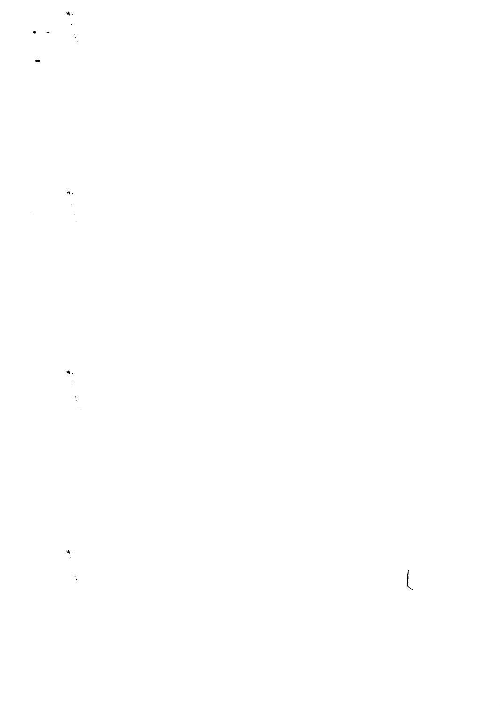

# 

 $\begin{array}{c} \begin{array}{c} \end{array} \end{array}$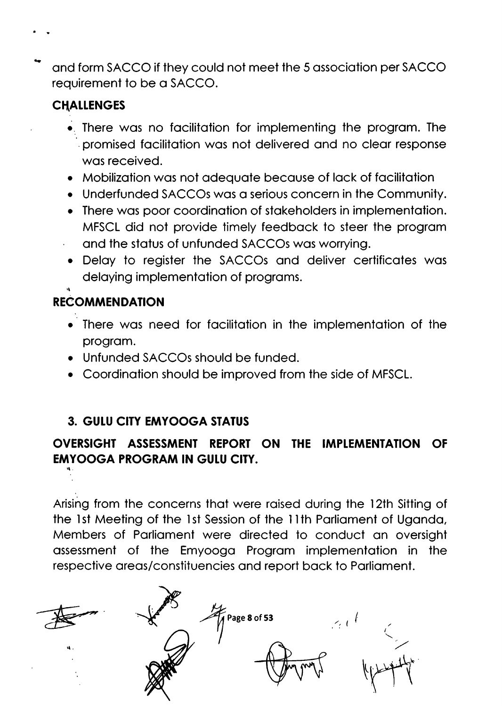and form SACCO if they could not meet the 5 association per SACCO requirement to be a SACCO.

### **CHALLENGES**

- There was no facilitation for implementing the program. The promised facilitation was not delivered and no clear response was received.
- Mobilization was not adequate because of lack of facilitation
- Underfunded SACCOs was a serious concern in the Community.
- There was poor coordination of stakeholders in implementation. MFSCL did not provide timely feedback to steer the program and the status of unfunded SACCOs was worrying.
- Delay to register the SACCOs and deliver certificates was delaying implementation of programs.

#### **RECOMMENDATION**

- There was need for facilitation in the implementation of the program.
- Unfunded SACCOs should be funded.
- Coordination should be improved from the side of MFSCL.

#### **3. GULU CITY EMYOOGA STATUS**

#### OVERSIGHT ASSESSMENT REPORT ON THE IMPLEMENTATION OF **EMYOOGA PROGRAM IN GULU CITY.**

Arising from the concerns that were raised during the 12th Sitting of the 1st Meeting of the 1st Session of the 11th Parliament of Uganda, Members of Parliament were directed to conduct an oversight assessment of the Emyooga Program implementation in the respective areas/constituencies and report back to Parliament.

Page 8 of 53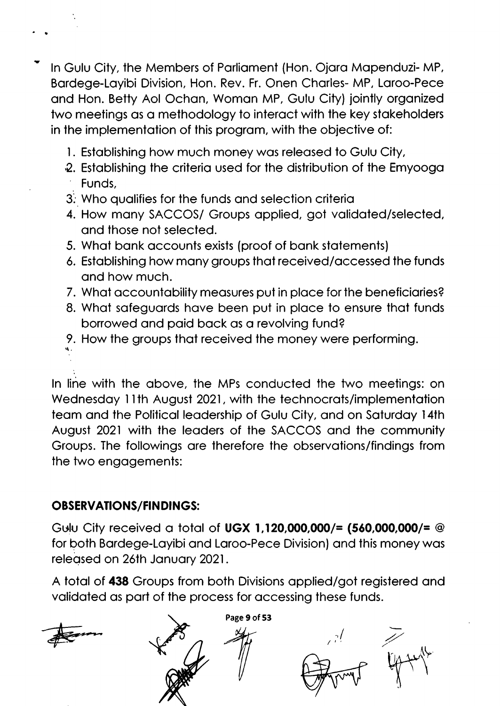ln Gulu City, the Members of Porlioment (Hon. Ojoro Mopenduzi- MP, Bordege-Loyibi Division, Hon. Rev. Fr. Onen Chorles- MP, Loroo-Pece ond Hon. Betty Aol Ochon, Womon MP, Gulu City) jointly orgonized two meetings os o methodology to interoct with the key stokeholders in the implementation of this program, with the objective of:

- l. Estoblishing how much money wos releosed to Gulu City,
- ,2. Estoblishing the criterio used for the distribution of the Emyoogo Funds,
- 3. Who qualifies for the funds and selection criteria
- 4. How mony SACCOS/ Groups opplied, got volidoted/selected, ond those not selected.
- 5. Whot bonk occounts exists (proof of bonk stotements)
- 6. Estoblishing how mony groups thot received/occessed the funds and how much.
- 7. What accountability measures put in place for the beneficiaries?
- 8. What safeguards have been put in place to ensure that funds borrowed ond poid bock os o revolving fund?
- 9. How the groups thot received the money were performing.

ln line with the obove, the MPs conducted the two meetings: on Wednesday 11th August 2021, with the technocrats/implementation teom ond the Politicol leodership of Gulu City, ond on Soturdoy l4th August 2021 with the leoders of the SACCOS ond the community Groups. The followings are therefore the observations/findings from the two engagements:

## OBSERVATIONS/FINDINGS:

t

f

Gulu City received a total of UGX 1,120,000,000/=  $(560,000,000/=$ for both Bordege-Loyibi ond Loroo-Pece Division) ond this money wos released on 26th January 2021.

A totol of 438 Groups from both Divisions opplied/got regislered ond validated as part of the process for accessing these funds.

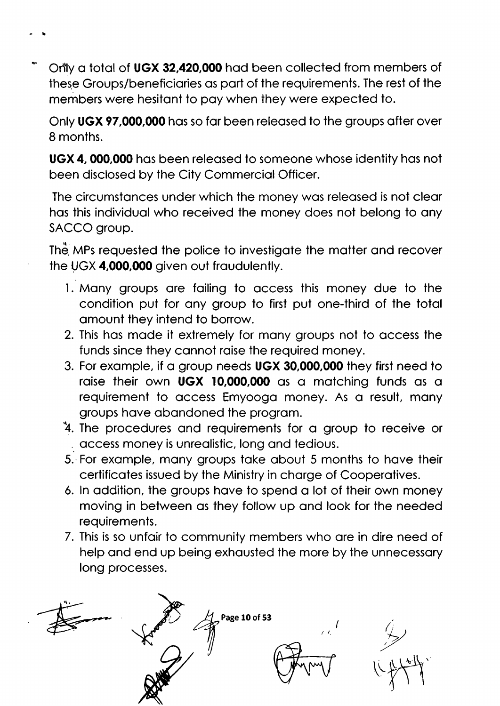Only a total of UGX 32,420,000 had been collected from members of these Groups/beneficiaries as part of the requirements. The rest of the members were hesitant to pay when they were expected to.

t

Only UGX 97,000,000 hos so for been releosed to the groups ofter over 8 months.

UGX 4, 000,000 has been released to someone whose identity has not been disclosed by the City Commerciol Officer.

The circumstances under which the money was released is not clear has this individual who received the money does not belong to any SACCO group.

The MPs requested the police to investigate the matter and recover the UGX 4,000,000 given out froudulently.

- l. Mony groups ore foiling to occess this money due to the condition put for ony group to first put one-third of the totol omount they intend to borrow.
- 2. This has made it extremely for many groups not to access the funds since they cannot raise the required money.
- 3. For example, if a group needs UGX 30,000,000 they first need to raise their own UGX 10,000,000 as a matching funds as a requirement to access Emyooga money. As a result, many groups have abandoned the program.
- 4. The procedures and requirements for a group to receive or , occess money is unreolistic, long ond tedious.
- 5. For example, many groups take about 5 months to have their certificotes issued by the Ministry in chorge of Cooperotives.
- 6. In addition, the groups have to spend a lot of their own money moving in between as they follow up and look for the needed requirements.
- 7. This is so unfoir to community members who ore in dire need of help ond end up being exhousted the more by the unnecessory long processes.

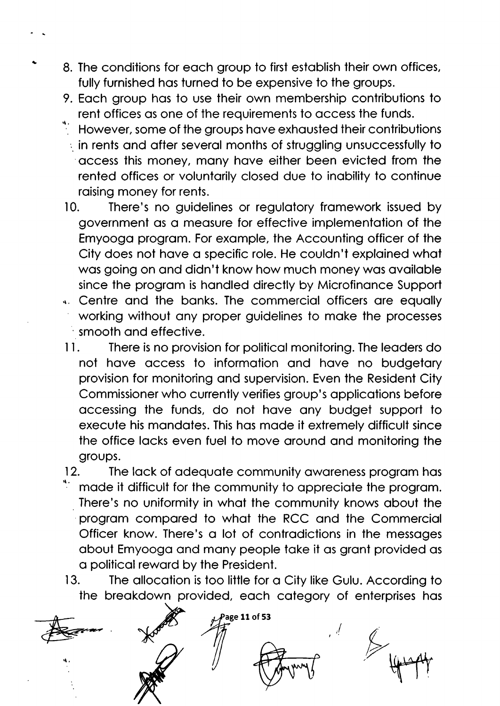8. The conditions for eoch group to first estoblish lheir own offices, fully furnished hos turned to be expensive to the groups.

a

- 9. Eoch group hos to use their own membership contributions to rent offices os one of the requirements to occess the funds.
- However, some of the groups have exhausted their contributions  $\therefore$  in rents and after several months of struggling unsuccessfully to access this money, many have either been evicted from the rented offices or voluntarily closed due to inability to continue raising money for rents.

10. There's no guidelines or regulatory framework issued by government os o meosure for effective implementotion of the Emyoogo progrom. For exomple, the Accounting officer of the City does not have a specific role. He couldn't explained what was going on and didn't know how much money was available since the program is handled directly by Microfinance Support

- ... Centre and the banks. The commercial officers are equally working without ony proper guidelines to moke the processes smooth and effective.
- <sup>I</sup>l. There is no provision for politicol monitoring. The leoders do not hove occess to informotion ond hove no budgetory provision for monitoring ond supervision. Even the Resident City Commissioner who currently verifies group's opplicotions before accessing the funds, do not have any budget support to execule his mondotes. This hos mode it extremely difficult since the office locks even fuel to move oround ond monitoring the groups.
- 12. The lack of adequate community awareness program has<br>" made it difficult for the community to appreciate the program. There's no uniformity in what the community knows about the progrom compored to whot the RCC ond the Commerciol Officer know. There's a lot of contradictions in the messages obout Emyoogo ond mony people toke it os gront provided os o politicol reword by the President.
- 13. The allocation is too little for a City like Gulu. According to the breakdown provided, each category of enterprises has

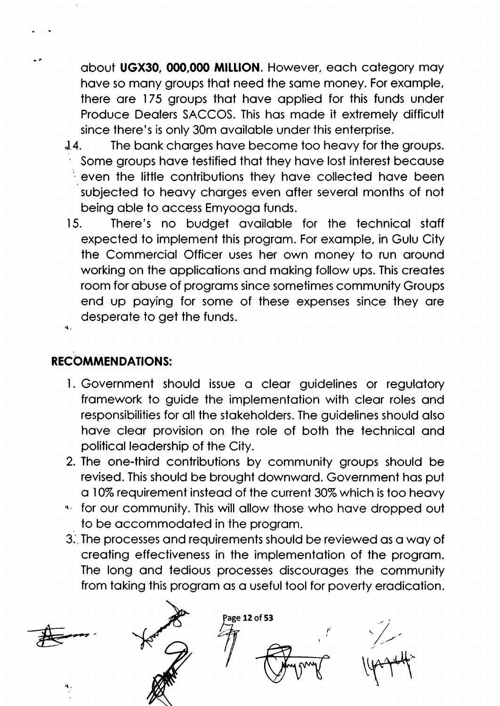about UGX30, 000,000 MILLION. However, each category may have so many groups that need the same money. For example, there ore 175 groups thot hove opplied for this funds under Produce Deolers SACCOS. This hos mode it extremely difficult since there's is only 30m available under this enterprise.

- $\mathcal{A}$ . The bank charges have become too heavy for the groups. Some groups have testified that they have lost interest because even the little contributions they have collected have been subjected to heavy charges even after several months of not being oble to occess Emyoogo funds.
- 15. There's no budget ovoiloble for the technicol stoff expected to implement this progrom. For exomple, in Gulu City the Commerciol Officer uses her own money to run oround working on the applications and making follow ups. This creates room for obuse of progroms since sometimes community Groups end up poying for some of these expenses since they ore desperote to get the funds. il

## RECOMMENDATIONS:

- l. Government should issue o cleor guidelines or regulotory framework to guide the implementation with clear roles and responsibilities for all the stakeholders. The guidelines should also have clear provision on the role of both the technical and politicol leodership of the City.
- 2. The one-third contributions by community groups should be revised. This should be brought downward. Government has put o l0% requirement insteod of the current 30% which is too heovy
- '|,' for our community. This will ollow those who hove dropped out to be occommodoted in the progrom.
- 3. The processes and requirements should be reviewed as a way of creoting effectiveness in the implementotion of the progrom. The long and tedious processes discourages the community from taking this program as a useful tool for poverty eradication.

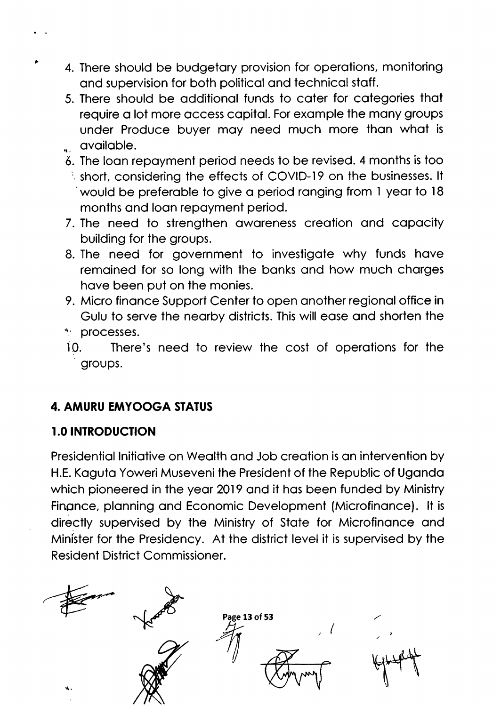- 4. There should be budgetory provision for operotions, monitoring and supervision for both political and technical staff.
- 5. There should be odditionol funds to coter for cotegories thot require a lot more access capital. For example the many groups under Produce buyer may need much more than what is u available.
- 6. The loon repoyment period needs to be revised. 4 months is too '. short, considering the effects of COVID-19 on the businesses. ll 'would be preferoble to give o period ronging from I yeor to I <sup>B</sup> months and loan repayment period.
- 7. Ihe need to strengthen oworeness creotion ond copocity building for the groups.
- 8. The need for government to investigote why funds hove remained for so long with the banks and how much charges have been put on the monies.
- 9. Micro finance Support Center to open another regional office in Gulu to serve the nearby districts. This will ease and shorten the
- ".' processes.

,

10. There's need to review the cost of operations for the groups.

## 4. AMURU EMYOOGA STATUS

## I.O INTRODUCIION

Presidential Initiative on Wealth and Job creation is an intervention by H.E. Koguto Yoweri Museveni the President of the Republic of Ugondo which pioneered in the year 2019 and it has been funded by Ministry Finance, planning and Economic Development (Microfinance). It is directly supervised by the Ministry of Stote for Microfinonce ond Minister for the Presidency. At the district level it is supervised by the Resident District Commissioner.

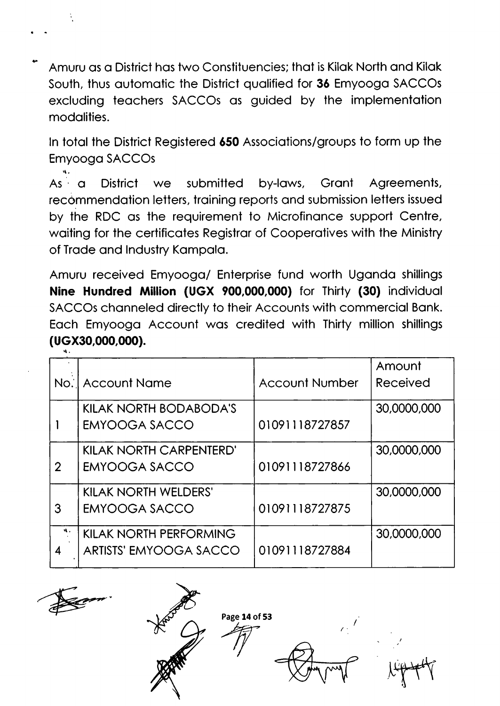Amuru os o District hos two Constituencies; thot is Kilok North ond Kilok South, thus automatic the District qualified for 36 Emyooga SACCOs excluding teochers SACCOs os guided by the implementotion modolities.

l.,

,,.

ln totol the District Registered 650 Associotions/groups to form up the Emyoogo SACCOS

. As ' o District we submitted by-lows, Gront Agreements, recommendation letters, training reports and submission letters issued by the RDC os the requirement to Microfinonce support Centre, waiting for the certificates Registrar of Cooperatives with the Ministry of Trade and Industry Kampala.

Amuru received Emyoogo/ Enterprise fund worth Ugondo shillings Nine Hundred Million (UGX 900,000,000) for Thirty (30) individuol SACCOs chonneled directly to their Accounts with commerciol Bonk. Eoch Emyoogo Account wos credited with Thirty million shillings (uGx30,000,000).

| м.             |                               |                       |             |  |
|----------------|-------------------------------|-----------------------|-------------|--|
|                |                               |                       | Amount      |  |
|                | No. Account Name              | <b>Account Number</b> | Received    |  |
|                | <b>KILAK NORTH BODABODA'S</b> |                       | 30,0000,000 |  |
|                | <b>EMYOOGA SACCO</b>          | 01091118727857        |             |  |
|                | KILAK NORTH CARPENTERD'       |                       | 30,0000,000 |  |
| $\overline{2}$ | <b>EMYOOGA SACCO</b>          | 01091118727866        |             |  |
|                | <b>KILAK NORTH WELDERS'</b>   |                       | 30,0000,000 |  |
| 3              | <b>EMYOOGA SACCO</b>          | 01091118727875        |             |  |
|                | <b>KILAK NORTH PERFORMING</b> |                       | 30,0000,000 |  |
| 4              | <b>ARTISTS' EMYOOGA SACCO</b> | 01091118727884        |             |  |



 $\mu$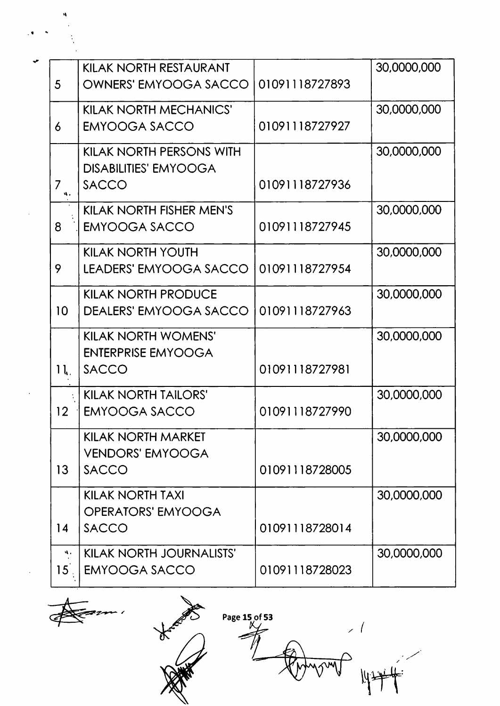30,0000,000 01091118727963 30,0000,000 01091118727981 30,0000,000 01091118727990 30,0000,000 01091118728005 **KILAK NORTH TAXI** 30,0000,000 **OPERATORS' EMYOOGA SACCO** 01091118728014 30,0000,000 KILAK NORTH JOURNALISTS' **EMYOOGA SACCO** 01091118728023 Page 15 of 53

KILAK NORTH RESTAURANT 30,0000,000 5 OWNERS' EMYOOGA SACCO 01091118727893 30,0000,000 KILAK NORTH MECHANICS' **EMYOOGA SACCO** 6 01091118727927 30,0000,000 KILAK NORTH PERSONS WITH **DISABILITIES' EMYOOGA SACCO** 01091118727936  $7<sup>1</sup>$  $\ddot{M}$ . KILAK NORTH FISHER MEN'S 30,0000,000 8 EMYOOGA SACCO 01091118727945 **KILAK NORTH YOUTH** 30,0000,000 9 LEADERS' EMYOOGA SACCO 01091118727954 **KILAK NORTH PRODUCE**  $10<sup>1</sup>$ DEALERS' EMYOOGA SACCO **KILAK NORTH WOMENS' ENTERPRISE EMYOOGA SACCO**  $11$ **KILAK NORTH TAILORS'**  $12<sup>°</sup>$ EMYOOGA SACCO **KILAK NORTH MARKET VENDORS' EMYOOGA** 13 **SACCO** 

 $14$ 

 $\mathbf{u}_\infty$ 

 $15<sub>1</sub>$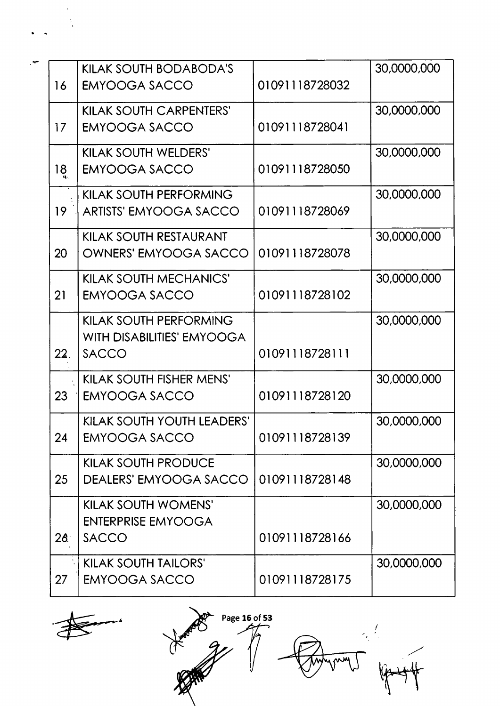l6 KILAK SOUTH BODABODA'S EMYOOGA SACCO 00091118728032 30,0000,000 17 KILAK SOUTH CARPENTERS' EMYOOGA SACCO [01091118728041] 30,0000,000  $18$ KILAK SOUTH WELDERS' EMYOOGA SACCO 101091118728050 30,0000,000 **19** KILAK SOUTH PERFORMING ARTISTS' EMYOOGA SACCO | 01091118728069 30,0000,000 20 KILAK SOUTH RESTAURANT OWNERS' EMYOOGA SACCO 01091118728078 30,0000,000 2l KILAK SOUTH MECHANICS' EMYOOGA SACCO 01091118728102 30,0000,000 22 KILAK SOUTH PERFORMING WITH DISABILITIES' EMYOOGA SACCO 01091118728111 30,0000,000 23 KILAK SOUTH FISHER MENS' EMYOOGA SACCO 01091118728120 30,0000,000 24 KILAK SOUTH YOUTH LEADERS' EMYOOGA SACCO 101091118728139 30,0000,000 25 KILAK SOUTH PRODUCE DEALERS' EMYOOGA SACCO | 01091118728148 30,0000,000  $26<sup>1</sup>$ KILAK SOUTH WOMENS' ENTERPRISE EMYOOGA SACCO 01091118728166 30,0000,000 27 KILAK SOUTH TAILORS' EMYOOGA SACCO 01091118728175 30,0000,000